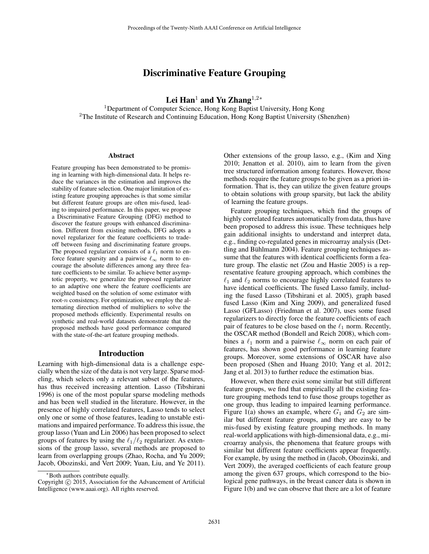# Discriminative Feature Grouping

Lei Han<sup>1</sup> and Yu Zhang<sup>1,2</sup>\*

<sup>1</sup>Department of Computer Science, Hong Kong Baptist University, Hong Kong <sup>2</sup>The Institute of Research and Continuing Education, Hong Kong Baptist University (Shenzhen)

#### Abstract

Feature grouping has been demonstrated to be promising in learning with high-dimensional data. It helps reduce the variances in the estimation and improves the stability of feature selection. One major limitation of existing feature grouping approaches is that some similar but different feature groups are often mis-fused, leading to impaired performance. In this paper, we propose a Discriminative Feature Grouping (DFG) method to discover the feature groups with enhanced discrimination. Different from existing methods, DFG adopts a novel regularizer for the feature coefficients to tradeoff between fusing and discriminating feature groups. The proposed regularizer consists of a  $\ell_1$  norm to enforce feature sparsity and a pairwise  $\ell_{\infty}$  norm to encourage the absolute differences among any three feature coefficients to be similar. To achieve better asymptotic property, we generalize the proposed regularizer to an adaptive one where the feature coefficients are weighted based on the solution of some estimator with root- $n$  consistency. For optimization, we employ the alternating direction method of multipliers to solve the proposed methods efficiently. Experimental results on synthetic and real-world datasets demonstrate that the proposed methods have good performance compared with the state-of-the-art feature grouping methods.

### Introduction

Learning with high-dimensional data is a challenge especially when the size of the data is not very large. Sparse modeling, which selects only a relevant subset of the features, has thus received increasing attention. Lasso (Tibshirani 1996) is one of the most popular sparse modeling methods and has been well studied in the literature. However, in the presence of highly correlated features, Lasso tends to select only one or some of those features, leading to unstable estimations and impaired performance. To address this issue, the group lasso (Yuan and Lin 2006) has been proposed to select groups of features by using the  $\ell_1/\ell_2$  regularizer. As extensions of the group lasso, several methods are proposed to learn from overlapping groups (Zhao, Rocha, and Yu 2009; Jacob, Obozinski, and Vert 2009; Yuan, Liu, and Ye 2011).

Other extensions of the group lasso, e.g., (Kim and Xing 2010; Jenatton et al. 2010), aim to learn from the given tree structured information among features. However, those methods require the feature groups to be given as a priori information. That is, they can utilize the given feature groups to obtain solutions with group sparsity, but lack the ability of learning the feature groups.

Feature grouping techniques, which find the groups of highly correlated features automatically from data, thus have been proposed to address this issue. These techniques help gain additional insights to understand and interpret data, e.g., finding co-regulated genes in microarray analysis (Dettling and Bühlmann 2004). Feature grouping techniques assume that the features with identical coefficients form a feature group. The elastic net (Zou and Hastie 2005) is a representative feature grouping approach, which combines the  $\ell_1$  and  $\ell_2$  norms to encourage highly correlated features to have identical coefficients. The fused Lasso family, including the fused Lasso (Tibshirani et al. 2005), graph based fused Lasso (Kim and Xing 2009), and generalized fused Lasso (GFLasso) (Friedman et al. 2007), uses some fused regularizers to directly force the feature coefficients of each pair of features to be close based on the  $\ell_1$  norm. Recently, the OSCAR method (Bondell and Reich 2008), which combines a  $\ell_1$  norm and a pairwise  $\ell_{\infty}$  norm on each pair of features, has shown good performance in learning feature groups. Moreover, some extensions of OSCAR have also been proposed (Shen and Huang 2010; Yang et al. 2012; Jang et al. 2013) to further reduce the estimation bias.

However, when there exist some similar but still different feature groups, we find that empirically all the existing feature grouping methods tend to fuse those groups together as one group, thus leading to impaired learning performance. Figure 1(a) shows an example, where  $G_1$  and  $G_2$  are similar but different feature groups, and they are easy to be mis-fused by existing feature grouping methods. In many real-world applications with high-dimensional data, e.g., microarray analysis, the phenomena that feature groups with similar but different feature coefficients appear frequently. For example, by using the method in (Jacob, Obozinski, and Vert 2009), the averaged coefficients of each feature group among the given 637 groups, which correspond to the biological gene pathways, in the breast cancer data is shown in Figure 1(b) and we can observe that there are a lot of feature

<sup>∗</sup>Both authors contribute equally.

Copyright  $\odot$  2015, Association for the Advancement of Artificial Intelligence (www.aaai.org). All rights reserved.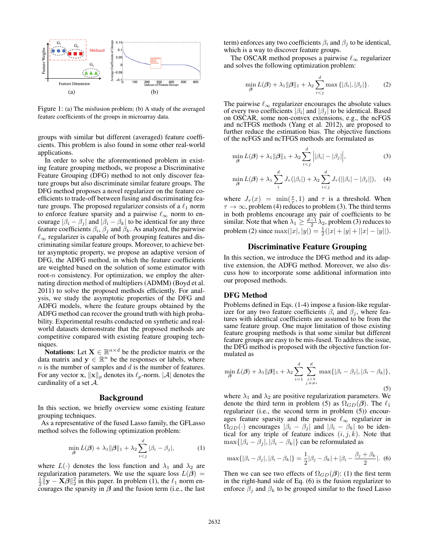

Figure 1: (a) The misfusion problem; (b) A study of the averaged feature coefficients of the groups in microarray data.

groups with similar but different (averaged) feature coefficients. This problem is also found in some other real-world applications.

In order to solve the aforementioned problem in existing feature grouping methods, we propose a Discriminative Feature Grouping (DFG) method to not only discover feature groups but also discriminate similar feature groups. The DFG method proposes a novel regularizer on the feature coefficients to trade-off between fusing and discriminating feature groups. The proposed regularizer consists of a  $\ell_1$  norm to enforce feature sparsity and a pairwise  $\ell_{\infty}$  norm to encourage  $|\beta_i - \beta_j|$  and  $|\beta_i - \beta_k|$  to be identical for any three feature coefficients  $\beta_i$ ,  $\beta_j$  and  $\beta_k$ . As analyzed, the pairwise  $\ell_{\infty}$  regularizer is capable of both grouping features and discriminating similar feature groups. Moreover, to achieve better asymptotic property, we propose an adaptive version of DFG, the ADFG method, in which the feature coefficients are weighted based on the solution of some estimator with root- $n$  consistency. For optimization, we employ the alternating direction method of multipliers (ADMM) (Boyd et al. 2011) to solve the proposed methods efficiently. For analysis, we study the asymptotic properties of the DFG and ADFG models, where the feature groups obtained by the ADFG method can recover the ground truth with high probability. Experimental results conducted on synthetic and realworld datasets demonstrate that the proposed methods are competitive compared with existing feature grouping techniques.

**Notations:** Let  $X \in \mathbb{R}^{n \times d}$  be the predictor matrix or the data matrix and  $y \in \mathbb{R}^n$  be the responses or labels, where  $n$  is the number of samples and  $d$  is the number of features. For any vector **x**,  $\|\mathbf{x}\|_p$  denotes its  $\ell_p$ -norm.  $|\mathcal{A}|$  denotes the cardinality of a set  $A$ .

#### Background

In this section, we briefly overview some existing feature grouping techniques.

As a representative of the fused Lasso family, the GFLasso method solves the following optimization problem:

$$
\min_{\boldsymbol{\beta}} L(\boldsymbol{\beta}) + \lambda_1 \|\boldsymbol{\beta}\|_1 + \lambda_2 \sum_{i < j}^d |\beta_i - \beta_j|,\tag{1}
$$

where  $L(\cdot)$  denotes the loss function and  $\lambda_1$  and  $\lambda_2$  are regularization parameters. We use the square loss  $L(\beta)$  = regularization parameters. We use the square loss  $L(\hat{\beta}) = \frac{1}{2} ||\mathbf{y} - \mathbf{X}\hat{\beta}||_2^2$  in this paper. In problem (1), the  $\ell_1$  norm encourages the sparsity in  $\beta$  and the fusion term (i.e., the last

term) enforces any two coefficients  $\beta_i$  and  $\beta_j$  to be identical, which is a way to discover feature groups.

The OSCAR method proposes a pairwise  $\ell_{\infty}$  regularizer and solves the following optimization problem:

$$
\min_{\boldsymbol{\beta}} L(\boldsymbol{\beta}) + \lambda_1 \|\boldsymbol{\beta}\|_1 + \lambda_2 \sum_{i < j}^d \max\left\{|\beta_i|, |\beta_j|\right\}.\tag{2}
$$

The pairwise  $\ell_{\infty}$  regularizer encourages the absolute values of every two coefficients  $|\beta_i|$  and  $|\beta_j|$  to be identical. Based on OSCAR, some non-convex extensions, e.g., the ncFGS and ncTFGS methods (Yang et al. 2012), are proposed to further reduce the estimation bias. The objective functions of the ncFGS and ncTFGS methods are formulated as

$$
\min_{\boldsymbol{\beta}} L(\boldsymbol{\beta}) + \lambda_1 ||\boldsymbol{\beta}||_1 + \lambda_2 \sum_{i < j}^d \left| |\beta_i| - |\beta_j| \right|,\tag{3}
$$

$$
\min_{\boldsymbol{\beta}} L(\boldsymbol{\beta}) + \lambda_1 \sum_{i}^{d} J_{\tau}(|\beta_i|) + \lambda_2 \sum_{i < j}^{d} J_{\tau}(||\beta_i| - |\beta_j||), \quad (4)
$$

where  $J_{\tau}(x) = \min(\frac{x}{\tau}, 1)$  and  $\tau$  is a threshold. When  $\tau \to \infty$  problem (4) reduces to problem (3). The third terms  $\tau \to \infty$ , problem (4) reduces to problem (3). The third terms in both problems encourage any pair of coefficients to be similar. Note that when  $\lambda_1 \ge \frac{d-1}{2} \lambda_2$ , problem (3) reduces to problem (2) since  $\max(|x|, |y|) = \frac{1}{2}(|x| + |y| + ||x| - |y||)$ .

### Discriminative Feature Grouping

In this section, we introduce the DFG method and its adaptive extension, the ADFG method. Moreover, we also discuss how to incorporate some additional information into our proposed methods.

## DFG Method

Problems defined in Eqs. (1-4) impose a fusion-like regularizer for any two feature coefficients  $\beta_i$  and  $\beta_j$ , where features with identical coefficients are assumed to be from the same feature group. One major limitation of those existing feature grouping methods is that some similar but different feature groups are easy to be mis-fused. To address the issue, the DFG method is proposed with the objective function formulated as

$$
\min_{\boldsymbol{\beta}} L(\boldsymbol{\beta}) + \lambda_1 \|\boldsymbol{\beta}\|_1 + \lambda_2 \sum_{i=1}^d \sum_{\substack{j < k \\ j, k \neq i}}^d \max\{|\beta_i - \beta_j|, |\beta_i - \beta_k|\},\tag{5}
$$

where  $\lambda_1$  and  $\lambda_2$  are positive regularization parameters. We denote the third term in problem (5) as  $\Omega_{GD}(\beta)$ . The  $\ell_1$  regularizer (i.e., the second term in problem (5)) encourregularizer (i.e., the second term in problem (5)) encourages feature sparsity and the pairwise  $\ell_{\infty}$  regularizer in  $\Omega_{GD}(\cdot)$  encourages  $|\beta_i - \beta_j|$  and  $|\beta_i - \beta_k|$  to be identical for any triple of feature indices  $(i, j, k)$ . Note that  $\max\{|\beta_i - \beta_j|, |\beta_i - \beta_k|\}$  can be reformulated as

$$
\max\{|\beta_i - \beta_j|, |\beta_i - \beta_k|\} = \frac{1}{2}|\beta_j - \beta_k| + |\beta_i - \frac{\beta_j + \beta_k}{2}|.
$$
 (6)

Then we can see two effects of  $\Omega_{GD}(\beta)$ : (1) the first term in the right-hand side of Eq. (6) is the fusion regularizer to enforce  $\beta_i$  and  $\beta_k$  to be grouped similar to the fused Lasso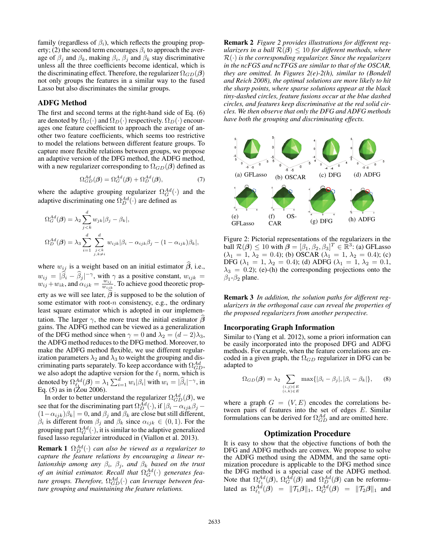family (regardless of  $\beta_i$ ), which reflects the grouping property; (2) the second term encourages  $\beta_i$  to approach the average of  $\beta_i$  and  $\beta_k$ , making  $\beta_i$ ,  $\beta_j$  and  $\beta_k$  stay discriminative unless all the three coefficients become identical, which is the discriminating effect. Therefore, the regularizer  $\Omega_{GD}(\beta)$ not only groups the features in a similar way to the fused Lasso but also discriminates the similar groups.

## ADFG Method

The first and second terms at the right-hand side of Eq. (6) are denoted by  $\Omega_G(\cdot)$  and  $\Omega_D(\cdot)$  respectively.  $\Omega_D(\cdot)$  encourages one feature coefficient to approach the average of another two feature coefficients, which seems too restrictive to model the relations between different feature groups. To capture more flexible relations between groups, we propose an adaptive version of the DFG method, the ADFG method, with a new regularizer corresponding to  $\Omega_{GD}(\beta)$  defined as

$$
\Omega_{GD}^{Ad}(\boldsymbol{\beta}) = \Omega_G^{Ad}(\boldsymbol{\beta}) + \Omega_D^{Ad}(\boldsymbol{\beta}),\tag{7}
$$

where the adaptive grouping regularizer  $\Omega_G^{Ad}(\cdot)$  and the adaptive discriminating one  $\Omega^{Ad}(\cdot)$  are defined as adaptive discriminating one  $\Omega_D^{Ad}(\cdot)$  are defined as

$$
\Omega_G^{Ad}(\boldsymbol{\beta}) = \lambda_2 \sum_{j < k}^d w_{jk} |\beta_j - \beta_k|,
$$
\n
$$
\Omega_D^{Ad}(\boldsymbol{\beta}) = \lambda_3 \sum_{i=1}^d \sum_{\substack{j < k \\ j, k \neq i}}^d w_{ijk} |\beta_i - \alpha_{ijk}\beta_j - (1 - \alpha_{ijk})\beta_k|,
$$

where  $w_{ij}$  is a weight based on an initial estimator  $\widehat{\beta}$ , i.e.,  $w_{ij} = |\widehat{\beta}_i - \widehat{\beta}_j|^{-\gamma}$ , with  $\gamma$  as a positive constant,  $w_{ijk} = w_{ijk} + w_{ijk}$  and  $\alpha_{ijk} = \frac{w_{ij}}{\gamma}$ . To achieve good theoretic prop $w_{ij} = \begin{bmatrix} v_i & v_{j1} \\ v_{ij} + w_{ik} \end{bmatrix}$ , which is a positive constant,  $w_{ijk} = w_{ij} + w_{ik}$ , and  $\alpha_{ijk} = \frac{w_{ij}}{w_{ijk}}$ . To achieve good theoretic property as we will see later,  $\beta$  is supposed to be the solution of some estimator with root- $n$  consistency, e.g., the ordinary least square estimator which is adopted in our implementation. The larger  $\gamma$ , the more trust the initial estimator  $\widehat{\boldsymbol{\beta}}$ gains. The ADFG method can be viewed as a generalization of the DFG method since when  $\gamma = 0$  and  $\lambda_2 = (d - 2)\lambda_3$ , the ADFG method reduces to the DFG method. Moreover, to make the ADFG method flexible, we use different regularization parameters  $\lambda_2$  and  $\lambda_3$  to weight the grouping and discriminating parts separately. To keep accordance with  $\Omega_{CD}^{Ad}$ ,<br>we also adont the adaptive version for the  $\ell_1$  norm, which is we also adopt the adaptive version for the  $\ell_1$  norm, which is denoted by  $\Omega_{\ell_1}^{Ad}(\beta) = \lambda_1 \sum_{i=1}^d w_i |\beta_i|$  with  $w_i = |\widehat{\beta}_i|^{-\gamma}$ , in <br>Fo (5) as in (7ou 2006) Eq.  $(5)$  as in  $(Zou 2006)$ .

In order to better understand the regularizer  $\Omega_{GD}^{Ad}(\beta)$ , we<br>a that for the discriminating part  $\Omega_{GD}^{Ad}(\beta)$  if  $|\beta_{GD}(\alpha, \beta)|$ see that for the discriminating part  $\Omega_{D}^{\tilde{A}d}(\cdot)$ , if  $\left|\beta_i - \alpha_{ijk}\beta_j - (1 - \alpha_{ijk})\beta_k\right| = 0$  and  $\beta_i$  and  $\beta_k$  are close but still different  $(1-\alpha_{ijk})\beta_k| = 0$ , and  $\beta_j$  and  $\beta_k$  are close but still different,  $\beta_i$  is different from  $\beta_j$  and  $\beta_k$  since  $\alpha_{ijk} \in (0,1)$ . For the grouping part  $\Omega_G^{Ad}(\cdot)$ , it is similar to the adaptive generalized<br>fused lasso regularizer introduced in (Viallon et al. 2013) fused lasso regularizer introduced in (Viallon et al. 2013).

**Remark 1**  $\Omega_{D}^{Ad}(\cdot)$  *can also be viewed as a regularizer to canture the feature relations by encouraging a linear recapture the feature relations by encouraging a linear relationship among any*  $\beta_i$ ,  $\beta_j$ , and  $\beta_k$  *based on the trust of an initial estimator. Recall that*  $\Omega_G^{Ad}(\cdot)$  generates fea-<br>ture groups. Therefore,  $\Omega^{Ad}(\cdot)$  can leverage between fea*ture groups. Therefore,*  $\Omega_{GD}^{Ad}(\cdot)$  *can leverage between fea-*<br>*ture grouping and maintaining the feature relations ture grouping and maintaining the feature relations.*

Remark 2 *Figure 2 provides illustrations for different regularizers in a ball*  $\mathcal{R}(\beta) \leq 10$  *for different methods, where* <sup>R</sup>(·) *is the corresponding regularizer. Since the regularizers in the ncFGS and ncTFGS are similar to that of the OSCAR, they are omitted. In Figures 2(e)-2(h), similar to (Bondell and Reich 2008), the optimal solutions are more likely to hit the sharp points, where sparse solutions appear at the black tiny-dashed circles, feature fusions occur at the blue dashed circles, and features keep discriminative at the red solid circles. We then observe that only the DFG and ADFG methods have both the grouping and discriminating effects.*



Figure 2: Pictorial representations of the regularizers in the ball  $\mathcal{R}(\beta) \leq 10$  with  $\beta = [\beta_1, \beta_2, \beta_3]^T \in \mathbb{R}^3$ : (a) GFLasso  $(\lambda_1 = 1, \lambda_2 = 0.4)$ : (b) OSCAR  $(\lambda_1 = 1, \lambda_2 = 0.4)$ : (c)  $(\lambda_1 = 1, \lambda_2 = 0.4)$ ; (b) OSCAR  $(\lambda_1 = 1, \lambda_2 = 0.4)$ ; (c)<br>DEG  $(\lambda_1 = 1, \lambda_2 = 0.4)$ ; (d) ADEG  $(\lambda_1 = 1, \lambda_2 = 0.1)$ DFG ( $\lambda_1 = 1$ ,  $\lambda_2 = 0.4$ ); (d) ADFG ( $\lambda_1 = 1$ ,  $\lambda_2 = 0.1$ ,  $\lambda_3 = 0.2$ ); (e)-(h) the corresponding projections onto the  $\beta_1 - \beta_2$  plane.

Remark 3 *In addition, the solution paths for different regularizers in the orthogonal case can reveal the properties of the proposed regularizers from another perspective.*

### Incorporating Graph Information

Similar to (Yang et al. 2012), some a priori information can be easily incorporated into the proposed DFG and ADFG methods. For example, when the feature correlations are encoded in a given graph, the  $\Omega_{GD}$  regularizer in DFG can be adapted to

$$
\Omega_{GD}(\boldsymbol{\beta}) = \lambda_2 \sum_{\substack{(i,j)\in E\\(i,k)\in E}} \max\{|\beta_i - \beta_j|, |\beta_i - \beta_k|\},\tag{8}
$$

where a graph  $G = (V, E)$  encodes the correlations between pairs of features into the set of edges  $E$ . Similar formulations can be derived for  $\Omega_{GD}^{Ad}$  and are omitted here.

#### Optimization Procedure

It is easy to show that the objective functions of both the DFG and ADFG methods are convex. We propose to solve the ADFG method using the ADMM, and the same optimization procedure is applicable to the DFG method since the DFG method is a special case of the ADFG method. Note that  $\Omega_{\epsilon_1}^{Ad}(\beta)$ ,  $\Omega_{\epsilon_2}^{Ad}(\beta)$  and  $\Omega_{\beta}^{Ad}(\beta)$  can be reformulated as  $\Omega_{\ell_1}^{Ad}(\boldsymbol{\beta}) = ||\mathcal{T}_1 \boldsymbol{\beta}||_1$ ,  $\Omega_G^{Ad}(\boldsymbol{\beta}) = ||\mathcal{T}_2 \boldsymbol{\beta}||_1$  and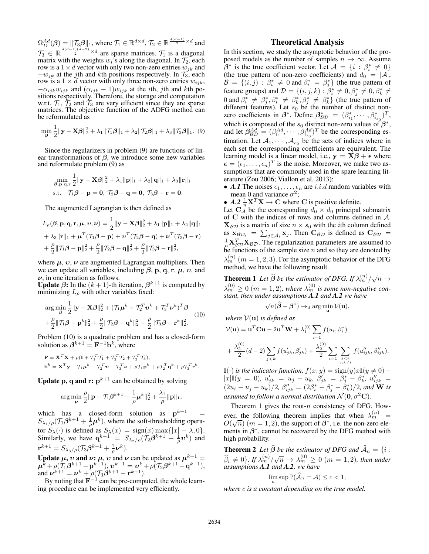$\Omega_D^{Ad}(\beta) = ||\mathcal{T}_3\beta||_1$ , where  $\mathcal{T}_1 \in \mathbb{R}^{d \times d}$ ,  $\mathcal{T}_2 \in \mathbb{R}^{\frac{d(d-1)}{2} \times d}$  and  $\mathcal{T}_3 \in \mathbb{R} \frac{d(d-1)(d-2)}{2} \times d$  are sparse matrices.  $\mathcal{T}_1$  is a diagonal matrix with the weights  $w_i$ 's along the diagonal. In  $\mathcal{T}_2$ , each row is a  $1 \times d$  vector with only two non-zero entries  $w_{jk}$  and  $-w_{jk}$  at the jth and kth positions respectively. In  $\mathcal{T}_3$ , each row is a  $1 \times d$  vector with only three non-zero entries  $w_{ijk}$ ,  $-\alpha_{ijk}w_{ijk}$  and  $(\alpha_{ijk} - 1)w_{ijk}$  at the *i*th, *j*th and *k*th positions respectively. Therefore, the storage and computation w.r.t.  $\mathcal{T}_1$ ,  $\mathcal{T}_2$  and  $\mathcal{T}_3$  are very efficient since they are sparse matrices. The objective function of the ADFG method can be reformulated as

$$
\min_{\beta} \frac{1}{2} ||\mathbf{y} - \mathbf{X}\boldsymbol{\beta}||_2^2 + \lambda_1 ||\mathcal{T}_1\boldsymbol{\beta}||_1 + \lambda_2 ||\mathcal{T}_2\boldsymbol{\beta}||_1 + \lambda_3 ||\mathcal{T}_3\boldsymbol{\beta}||_1.
$$
 (9)

Since the regularizers in problem (9) are functions of linear transformations of  $\beta$ , we introduce some new variables and reformulate problem (9) as

$$
\min_{\boldsymbol{\beta},\mathbf{p},\mathbf{q},\mathbf{r}}\frac{1}{2}||\mathbf{y}-\mathbf{X}\boldsymbol{\beta}||_2^2+\lambda_1||\mathbf{p}||_1+\lambda_2||\mathbf{q}||_1+\lambda_3||\mathbf{r}||_1
$$
  
s.t.  $\mathcal{T}_1\boldsymbol{\beta}-\mathbf{p}=\mathbf{0}, \mathcal{T}_2\boldsymbol{\beta}-\mathbf{q}=\mathbf{0}, \mathcal{T}_3\boldsymbol{\beta}-\mathbf{r}=\mathbf{0}.$ 

The augmented Lagrangian is then defined as

$$
L_{\rho}(\boldsymbol{\beta}, \mathbf{p}, \mathbf{q}, \mathbf{r}, \boldsymbol{\mu}, \boldsymbol{\nu}, \boldsymbol{\nu}) = \frac{1}{2} \|\mathbf{y} - \mathbf{X}\boldsymbol{\beta}\|_{2}^{2} + \lambda_{1} \|\mathbf{p}\|_{1} + \lambda_{2} \|\mathbf{q}\|_{1}
$$
  
+  $\lambda_{3} \|\mathbf{r}\|_{1} + \boldsymbol{\mu}^{T}(\mathcal{T}_{1}\boldsymbol{\beta} - \mathbf{p}) + \boldsymbol{\nu}^{T}(\mathcal{T}_{2}\boldsymbol{\beta} - \mathbf{q}) + \boldsymbol{\nu}^{T}(\mathcal{T}_{3}\boldsymbol{\beta} - \mathbf{r})$   
+  $\frac{\rho}{2} \|\mathcal{T}_{1}\boldsymbol{\beta} - \mathbf{p}\|_{2}^{2} + \frac{\rho}{2} \|\mathcal{T}_{2}\boldsymbol{\beta} - \mathbf{q}\|_{2}^{2} + \frac{\rho}{2} \|\mathcal{T}_{3}\boldsymbol{\beta} - \mathbf{r}\|_{2}^{2},$ 

where  $\mu$ ,  $v$ ,  $\nu$  are augmented Lagrangian multipliers. Then we can update all variables, including  $\beta$ , **p**, **q**, **r**,  $\mu$ , *v*, and *ν*, in one iteration as follows.

**Update**  $\beta$ : In the  $(k + 1)$ -th iteration,  $\beta^{k+1}$  is computed by minimizing  $L_{\rho}$  with other variables fixed:

$$
\arg\min_{\boldsymbol{\beta}} \frac{1}{2} \|\mathbf{y} - \mathbf{X}\boldsymbol{\beta}\|_{2}^{2} + (\mathcal{T}_{1}\boldsymbol{\mu}^{k} + \mathcal{T}_{2}^{T}\mathbf{v}^{k} + \mathcal{T}_{3}^{T}\boldsymbol{\nu}^{k})^{T}\boldsymbol{\beta} + \frac{\rho}{2} \|\mathcal{T}_{1}\boldsymbol{\beta} - \mathbf{p}^{k}\|_{2}^{2} + \frac{\rho}{2} \|\mathcal{T}_{2}\boldsymbol{\beta} - \mathbf{q}^{k}\|_{2}^{2} + \frac{\rho}{2} \|\mathcal{T}_{3}\boldsymbol{\beta} - \mathbf{r}^{k}\|_{2}^{2}.
$$
 (10)

2 2 2 Problem (10) is a quadratic problem and has a closed-form solution as  $\hat{\beta}^{k+1} = \mathbf{F}^{-1} \mathbf{b}^k$ , where

$$
\mathbf{F} = \mathbf{X}^T \mathbf{X} + \rho (\mathbf{I} + \mathcal{T}_1^T \mathcal{T}_1 + \mathcal{T}_2^T \mathcal{T}_2 + \mathcal{T}_3^T \mathcal{T}_3),
$$
  
\n
$$
\mathbf{b}^k = \mathbf{X}^T \mathbf{y} - \mathcal{T}_1 \boldsymbol{\mu}^k - \mathcal{T}_2^T \mathbf{v} - \mathcal{T}_3^T \mathbf{v} + \rho \mathcal{T}_1 \mathbf{p}^k + \rho \mathcal{T}_2^T \mathbf{q}^k + \rho \mathcal{T}_3^T \mathbf{r}^k.
$$

**Update p, q and r:**  $p^{k+1}$  can be obtained by solving

$$
\arg\min_{\mathbf{p}} \frac{\rho}{2} \|\mathbf{p} - \mathcal{T}_1 \boldsymbol{\beta}^{k+1} - \frac{1}{\rho} \boldsymbol{\mu}^k\|_2^2 + \frac{\lambda_1}{\rho} \|\mathbf{p}\|_1,
$$

which has a closed-form solution as  $p^{k+1} = S_{\lambda}$  ( $T_1 B^{k+1} + \frac{1}{2} \mu^k$ ) where the soft-thresholding opera- $S_{\lambda_1/\rho}(\mathcal{T}_1\beta^{k+1} + \frac{1}{\rho}\mu^k)$ , where the soft-thresholding opera-<br>ten S<sub>(c)</sub> is defined as S<sub>(c)</sub> sign(a) may (a) a) 0) tor  $S_{\lambda}(\cdot)$  is defined as  $S_{\lambda}(x) = \text{sign}(x) \max\{|x| - \lambda, 0\}$ .<br>Similarly we have  $\alpha^{k+1} = S_{\lambda}$ ,  $(T_2 \beta^{k+1} + \frac{1}{2} \gamma^k)$  and Similarly, we have  $\mathbf{q}^{k+1} = S_{\lambda_2/\rho}(\mathcal{T}_2\beta^{k+1} + \frac{1}{\rho}\mathbf{v}^k)$  and  $\mathbf{r}^{k+1} = S_{\lambda_3/\rho} (\mathcal{T}_3 \boldsymbol{\beta}^{k+1} + \frac{1}{\rho} \boldsymbol{\nu}^k).$ 

Update  $\mu$ , *v* and *v*:  $\mu$ , *v* and *v* can be updated as  $\mu^{k+1} =$ <br> $\mu^k + o(\mathcal{T}_1 \beta^{k+1} - \mathbf{p}^{k+1})$ ,  $\gamma^{k+1} = \gamma^k + o(\mathcal{T}_2 \beta^{k+1} - \mathbf{p}^{k+1})$  $\mu^k + \rho(\mathcal{T}_1\beta^{k+1} - \mathbf{p}^{k+1}), \, \mathbf{v}^{k+1} = \mathbf{v}^k + \rho(\mathcal{T}_2\beta^{k+1} - \mathbf{q}^{k+1}),$ <br>and  $\nu^{k+1} = \nu^k + \rho(\mathcal{T}_2\beta^{k+1} - \mathbf{r}^{k+1})$ and  $v^{k+1} = v^k + \rho(\mathcal{T}_3 \hat{\beta}^{k+1} - \mathbf{r}^{k+1}).$ <br>By noting that  $\mathbf{F}^{-1}$  can be pre-computed.

By noting that  $\mathbf{F}^{-1}$  can be pre-computed, the whole learning procedure can be implemented very efficiently.

## Theoretical Analysis

In this section, we study the asymptotic behavior of the proposed models as the number of samples  $n \to \infty$ . Assume  $\beta^*$  is the true coefficient vector. Let  $\mathcal{A} = \{i : \beta_i^* \neq 0\}$  $\beta$  is the true coefficient vector. Let  $A = \{i : \beta_i \neq 0\}$ <br>
(the true pattern of non-zero coefficients) and  $d_0 = |A|$ ,<br>  $B = \{(i \; i) : \beta^* \neq 0 \text{ and } \beta^* = \beta^*\}$  (the true pattern of  $\hat{B} = \{(i, j) : \beta_i^* \neq 0 \text{ and } \beta_i^* = \beta_j^*\}$  (the true pattern of feature groups) and  $D = \{(i, j, k) : \beta^* \neq 0, \beta^* \neq 0, \beta^* \neq 0, \beta^* \neq 0, \beta^* \neq 0, \beta^* \neq 0, \beta^* \neq 0, \beta^* \neq 0, \beta^* \neq 0, \beta^* \neq 0, \beta^* \neq 0, \beta^* \neq 0, \beta^* \$ feature groups) and  $\mathcal{D} = \{ (i, j, k) : \beta_i^* \neq 0, \beta_j^* \neq 0, \beta_k^* \neq 0 \}$ 0 and  $\beta_i^* \neq \beta_j^*, \beta_i^* \neq \beta_k^*, \beta_j^* \neq \beta_k^*$  (the true pattern of distinct non-<br>different features). Let  $s_0$  be the number of distinct nondifferent features). Let  $s_0$  be the number of distinct nonzero coefficients in  $\beta^*$ . Define  $\beta_{BD}^* = (\beta_{i_1}^*, \dots, \beta_{i_{s_0}}^*)^T$ , which is composed of the  $s_0$  distinct non-zero values of  $\beta^*$ , and let  $\beta_{B_D}^{Ad} = (\beta_{i_1}^{Ad}, \cdots, \beta_{i_{s_0}}^{Ad})^T$  be the corresponding es-<br>timetion Let  $A = A$  the sets of indices where in timation. Let  $A_1, \dots, A_{s_0}$  be the sets of indices where in each set the corresponding coefficients are equivalent. The learning model is a linear model, i.e.,  $y = X\beta + \epsilon$  where  $\epsilon = (\epsilon_1,\ldots,\epsilon_n)^T$  is the noise. Moreover, we make two assumptions that are commonly used in the spare learning literature (Zou 2006; Viallon et al. 2013):

- *A.1* The noises  $\epsilon_1, \ldots, \epsilon_n$  are *i.i.d* random variables with mean 0 and variance  $\sigma^2$ ;
- $A.2 \frac{1}{n} \mathbf{X}^T \mathbf{X} \rightarrow \mathbf{C}$  where **C** is positive definite.

Let  $C_A^{\{n\}}$  be the corresponding  $d_0 \times d_0$  principal submatrix of **C** with the indices of rows and columns defined in A.  $\mathbf{X}_{\mathcal{BD}}$  is a matrix of size  $n \times s_0$  with the *i*th column defined  $\mathbf{x}_{BD} = \sum_{j \in A_i} \mathbf{x}_j$ . Then  $\mathbf{C}_{BD}$  is defined as  $\mathbf{C}_{BD} = \frac{1}{N} \mathbf{x}^T \mathbf{x}_{BD}$ . The reqularization parameters are assumed to  $\frac{1}{n} \mathbf{X}_{BD}^T \mathbf{X}_{BD}$ . The regularization parameters are assumed to be functions of the sample size  $n$  and so they are denoted by  $\lambda_m^{(n)}$  (m = 1, 2, 3). For the asymptotic behavior of the DFG method, we have the following result.

**Theorem 1** Let  $\widehat{\beta}$  be the estimator of DFG. If  $\lambda_m^{(n)}/\sqrt{n} \rightarrow$  $\lambda_{mn}^{(0)} \ge 0$  ( $m = 1, 2$ ), where  $\lambda_{mn}^{(0)}$  is some non-negative constant, then under assumptions **A.1** and **A.2** we have *stant, then under assumptions A.1 and A.2 we have*

$$
\sqrt{n}(\widehat{\boldsymbol{\beta}} - \boldsymbol{\beta}^*) \to_d \arg\min_{\mathbf{u}} \mathcal{V}(\mathbf{u}),
$$

*where*  $V(\mathbf{u})$  *is defined as* 

$$
\mathcal{V}(\mathbf{u}) = \mathbf{u}^T \mathbf{C} \mathbf{u} - 2 \mathbf{u}^T \mathbf{W} + \lambda_1^{(0)} \sum_{i=1} f(u_i, \beta_i^*)
$$
  
+ 
$$
\frac{\lambda_2^{(0)}}{2} (d-2) \sum_{j < k} f(u'_{jk}, \beta'_{jk}) + \frac{\lambda_2^{(0)}}{2} \sum_{i=1} \sum_{\substack{j < k \\ j, k \neq i}} f(u''_{ijk}, \beta''_{ijk}).
$$

 $\mathbb{I}(\cdot)$  *is the indicator function,*  $f(x, y) = \text{sign}(y)x\mathbb{I}(y \neq 0) +$  $|x| \mathbb{I}(y = 0), u'_{jk} = u_j - u_k, \beta'_{jk} = \beta^*_j - \beta^*_k, u''_{ijk} = (2u_i - u_j - u_k)/2, \beta''_{ijk} = (2\beta^*_i - \beta^*_j - \beta^*_k)/2$ , and **W** is *assumed to follow a normal distribution*  $\mathcal{N}(\mathbf{0}, \sigma^2 \mathbf{C})$ *.* 

Theorem 1 gives the root- $n$  consistency of DFG. However, the following theorem implies that when  $\lambda_m^{(n)}$  =  $O(\sqrt{n})$  ( $m = 1, 2$ ), the support of  $\beta^*$ , i.e. the non-zero ele-<br>ments in  $\beta^*$  cannot be recovered by the DFG method with ments in *β*∗, cannot be recovered by the DFG method with high probability.

**Theorem 2** *Let*  $\widehat{\beta}$  *be the estimator of DFG and*  $\widehat{A}_n = \{i : \widehat{\beta} \mid (0) \leq j \leq n \}$  (m, n, 1, 2) then we denote  $\widehat{\beta}_i \neq 0$ . If  $\lambda_m^{(n)}/\sqrt{n} \to \lambda_m^{(0)} \geq 0$  ( $m = 1, 2$ ), then under assumptions **A.1** and **A.2**, we have

$$
\lim_{n} \sup \mathbb{P}(\widehat{\mathcal{A}}_n = \mathcal{A}) \le c < 1,
$$

*where* c *is a constant depending on the true model.*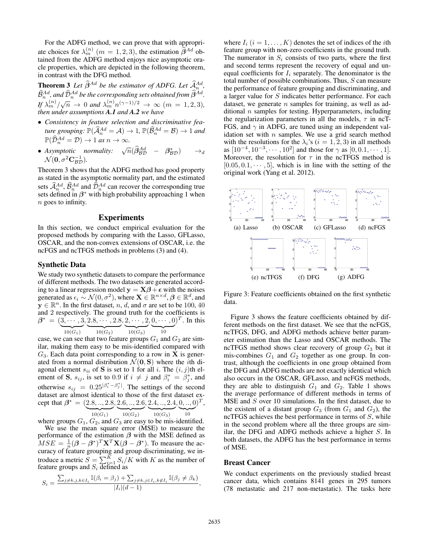For the ADFG method, we can prove that with appropriate choices for  $\lambda_m^{(n)}$  ( $m = 1, 2, 3$ ), the estimation  $\hat{\beta}^{Ad}$  obtained from the ADFG method enjoys nice asymptotic oratained from the ADFG method enjoys nice asymptotic oracle properties, which are depicted in the following theorem, in contrast with the DFG method.

**Theorem 3** Let  $\widehat{\beta}^{Ad}$  be the estimator of ADFG. Let  $\widehat{\mathcal{A}}_n^{Ad}$ ,  $\widehat{\mathcal{B}}_n^{Ad}$  , and  $\widehat{\mathcal{D}}_n^{Ad}$  be the corresponding sets obtained from  $\widehat{\boldsymbol{\beta}}^{Ad}.$ *If*  $\lambda_m^{(n)}/\sqrt{n} \to 0$  *and*  $\lambda_m^{(n)}n^{(\gamma-1)/2} \to \infty$   $(m = 1, 2, 3)$ *,* then under assumptions **A. I** and **A. 2** we have *then under assumptions A.1 and A.2 we have*

- *Consistency in feature selection and discriminative feature grouping:*  $\mathbb{P}(\widehat{A}_{n}^{Ad} = A) \to 1$ ,  $\mathbb{P}(\widehat{B}_{n}^{Ad} = B) \to 1$  *and*  $\mathbb{P}(\widehat{D}^{Ad} = D) \to 1$  *as*  $\infty \to \infty$  $\mathbb{P}(\widehat{\mathcal{D}}_n^{Ad} = \mathcal{D}) \to 1$  *as*  $n \to \infty$ .
- *Asymptotic normality:*  $\sqrt{n}(\hat{\beta}_{BD}^{Ad} \beta_{BD}^*) \rightarrow_d$ <br> $\mathcal{N}(\mathbf{0}, \sigma^2 \mathbf{C}^{-1})$  $\mathcal{N}(\mathbf{0}, \sigma^2 \mathbf{C}_{\mathcal{BD}}^{-1}).$

Theorem 3 shows that the ADFG method has good property as stated in the asymptotic normality part, and the estimated sets  $\hat{A}_n^{Ad}$ ,  $\hat{B}_n^{Ad}$  and  $\hat{D}_n^{Ad}$  can recover the corresponding true sets defined in *β*<sup>∗</sup> with high probability approaching 1 when n goes to infinity.

#### Experiments

In this section, we conduct empirical evaluation for the proposed methods by comparing with the Lasso, GFLasso, OSCAR, and the non-convex extensions of OSCAR, i.e. the ncFGS and ncTFGS methods in problems (3) and (4).

#### Synthetic Data

We study two synthetic datasets to compare the performance of different methods. The two datasets are generated according to a linear regression model  $\mathbf{y} = \mathbf{X}\boldsymbol{\beta} + \boldsymbol{\epsilon}$  with the noises<br>generated as  $\boldsymbol{\epsilon}_i \sim \mathcal{N}(0, \sigma^2)$  where  $\mathbf{X} \in \mathbb{R}^{n \times d}$   $\boldsymbol{\beta} \in \mathbb{R}^d$  and generated as  $\epsilon_i$  ∼  $\mathcal{N}(0, \sigma^2)$ , where  $\mathbf{X} \in \mathbb{R}^{n \times d}$ ,  $\boldsymbol{\beta} \in \mathbb{R}^d$ , and  $\mathbf{v} \in \mathbb{R}^n$ . In the first dataset  $n/d$  and  $\sigma$  are set to be 100–40  $\mathbf{y} \in \mathbb{R}^n$ . In the first dataset, *n*, *d*, and  $\sigma$  are set to be 100, 40 and 2 respectively. The ground truth for the coefficients is and 2 respectively. The ground truth for the coefficients is  $A^* = (3 \cdots 3 \ 2 \ 8 \cdots 2 \ 8 \ 2 \cdots 2 \ 0 \cdots 0)^T$  In this  $\beta^* = (\underbrace{3, \cdots, 3}_{10(G_1)}, \underbrace{2.8, \cdots, 2.8}_{10(G_2)}, \underbrace{2, \cdots, 2}_{10(G_3)}, \underbrace{0, \cdots, 0}_{10})^T$ . In this

case, we can see that two feature groups  $G_1$  and  $G_2$  are similar, making them easy to be mis-identified compared with  $G_3$ . Each data point corresponding to a row in **X** is generated from a normal distribution  $\mathcal{N}(\mathbf{0}, \mathbf{S})$  where the *i*th diagonal element  $s_{ii}$  of **S** is set to 1 for all i. The  $(i, j)$ th element of **S**,  $s_{ij}$ , is set to 0.9 if  $i \neq j$  and  $\beta_i^* = \beta_j^*$ , and otherwise  $s_{ij} = 0.25|\beta_i^* - \beta_j^*|$ . The settings of the second dataset are almost identical to those of the first dataset exdataset are almost identical to those of the first dataset except that  $\beta^* = \left( \underbrace{2.8, ..., 2.8}_{10(G_1)}, \underbrace{2.6, ..., 2.6}_{10(G_2)}, \underbrace{2.4, ..., 2.4}_{10(G_3)}, \underbrace{0, ..., 0}_{10}\right)^T$ , where groups  $G_1$ ,  $G_2$ , and  $G_3$  are easy to be mis-identified.

We use the mean square error (MSE) to measure the performance of the estimation  $\beta$  with the MSE defined as  $MSE = \frac{1}{n}(\beta - \beta^*)^T \mathbf{X}^T \mathbf{X}(\beta - \beta^*)$ . To measure the ac-<br>curacy of feature grouning and groun discriminating we incuracy of feature grouping and group discriminating, we introduce a metric  $S = \sum_{i=1}^{K} S_i/K$  with K as the number of feature groups and  $S_i$  defined as

$$
S_i = \frac{\sum_{j \neq k, j, k \in I_i} \mathbb{I}(\beta_i = \beta_j) + \sum_{j \neq k, j \in I_i, k \notin I_i} \mathbb{I}(\beta_j \neq \beta_k)}{|I_i|(d-1)},
$$

where  $I_i$  ( $i = 1, ..., K$ ) denotes the set of indices of the *i*th feature group with non-zero coefficients in the ground truth. The numerator in  $S_i$  consists of two parts, where the first and second terms represent the recovery of equal and unequal coefficients for  $I_i$  separately. The denominator is the total number of possible combinations. Thus, S can measure the performance of feature grouping and discriminating, and a larger value for S indicates better performance. For each dataset, we generate  $n$  samples for training, as well as additional  $n$  samples for testing. Hyperparameters, including the regularization parameters in all the models,  $\tau$  in ncT-FGS, and  $\gamma$  in ADFG, are tuned using an independent validation set with  $n$  samples. We use a grid search method with the resolutions for the  $\lambda_i$ 's ( $i = 1, 2, 3$ ) in all methods as  $[10^{-4}, 10^{-3}, \cdots, 10^{2}]$  and those for  $\gamma$  as  $[0, 0.1, \cdots, 1]$ . Moreover, the resolution for  $\tau$  in the ncTFGS method is  $[0.05, 0.1, \cdots, 5]$ , which is in line with the setting of the original work (Yang et al. 2012).



Figure 3: Feature coefficients obtained on the first synthetic data.

Figure 3 shows the feature coefficients obtained by different methods on the first dataset. We see that the ncFGS, ncTFGS, DFG, and ADFG methods achieve better parameter estimation than the Lasso and OSCAR methods. The ncTFGS method shows clear recovery of group  $G_3$  but it mis-combines  $G_1$  and  $G_2$  together as one group. In contrast, although the coefficients in one group obtained from the DFG and ADFG methods are not exactly identical which also occurs in the OSCAR, GFLasso, and ncFGS methods, they are able to distinguish  $G_1$  and  $G_2$ . Table 1 shows the average performance of different methods in terms of MSE and S over 10 simulations. In the first dataset, due to the existent of a distant group  $G_3$  (from  $G_1$  and  $G_2$ ), the  $ncTFGS$  achieves the best performance in terms of  $S$ , while in the second problem where all the three groups are similar, the DFG and ADFG methods achieve a higher S. In both datasets, the ADFG has the best performance in terms of MSE.

#### Breast Cancer

We conduct experiments on the previously studied breast cancer data, which contains 8141 genes in 295 tumors (78 metastatic and 217 non-metastatic). The tasks here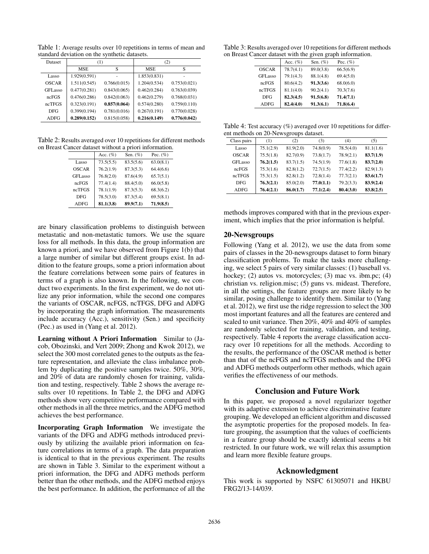Table 1: Average results over 10 repetitions in terms of mean and standard deviation on the synthetic datasets.

| <b>Dataset</b>      | (1)          |              | (2)          |              |
|---------------------|--------------|--------------|--------------|--------------|
|                     | <b>MSE</b>   | S            | <b>MSE</b>   | S            |
| Lasso               | 1.929(0.591) |              | 1.853(0.831) |              |
| <b>OSCAR</b>        | 1.511(0.545) | 0.766(0.015) | 1.204(0.534) | 0.753(0.021) |
| GFL <sub>asso</sub> | 0.477(0.281) | 0.843(0.065) | 0.462(0.284) | 0.763(0.039) |
| ncFGS               | 0.476(0.286) | 0.842(0.063) | 0.462(0.279) | 0.768(0.031) |
| ncTFGS              | 0.323(0.191) | 0.857(0.064) | 0.574(0.280) | 0.759(0.110) |
| <b>DFG</b>          | 0.399(0.194) | 0.781(0.016) | 0.267(0.191) | 0.770(0.028) |
| <b>ADFG</b>         | 0.289(0.152) | 0.815(0.058) | 0.216(0.149) | 0.776(0.042) |

Table 2: Results averaged over 10 repetitions for different methods on Breast Cancer dataset without a priori information.

|              | Acc. $(\%)$ | Sen. $(\%)$ | Pec. $(\%)$ |
|--------------|-------------|-------------|-------------|
| Lasso        | 73.5(5.5)   | 83.5(5.6)   | 63.0(8.1)   |
| <b>OSCAR</b> | 76.2(1.9)   | 87.3(5.3)   | 64.4(6.6)   |
| GFLasso      | 76.8(2.0)   | 87.6(4.9)   | 65.7(5.1)   |
| ncFGS        | 77.4(1.4)   | 88.4(5.0)   | 66.0(5.8)   |
| ncTFGS       | 78.1(1.9)   | 87.3(5.3)   | 68.3(6.2)   |
| <b>DFG</b>   | 78.5(3.0)   | 87.3(5.4)   | 69.5(8.1)   |
| <b>ADFG</b>  | 81.1(3.8)   | 89.9(7.1)   | 71.9(8.5)   |

are binary classification problems to distinguish between metastatic and non-metastatic tumors. We use the square loss for all methods. In this data, the group information are known a priori, and we have observed from Figure 1(b) that a large number of similar but different groups exist. In addition to the feature groups, some a priori information about the feature correlations between some pairs of features in terms of a graph is also known. In the following, we conduct two experiments. In the first experiment, we do not utilize any prior information, while the second one compares the variants of OSCAR, ncFGS, ncTFGS, DFG and ADFG by incorporating the graph information. The measurements include accuracy (Acc.), sensitivity (Sen.) and specificity (Pec.) as used in (Yang et al. 2012).

Learning without A Priori Information Similar to (Jacob, Obozinski, and Vert 2009; Zhong and Kwok 2012), we select the 300 most correlated genes to the outputs as the feature representation, and alleviate the class imbalance problem by duplicating the positive samples twice. 50%, 30%, and 20% of data are randomly chosen for training, validation and testing, respectively. Table 2 shows the average results over 10 repetitions. In Table 2, the DFG and ADFG methods show very competitive performance compared with other methods in all the three metrics, and the ADFG method achieves the best performance.

Incorporating Graph Information We investigate the variants of the DFG and ADFG methods introduced previously by utilizing the available priori information on feature correlations in terms of a graph. The data preparation is identical to that in the previous experiment. The results are shown in Table 3. Similar to the experiment without a priori information, the DFG and ADFG methods perform better than the other methods, and the ADFG method enjoys the best performance. In addition, the performance of all the

Table 3: Results averaged over 10 repetitions for different methods on Breast Cancer dataset with the given graph information.

|              | Acc. $(\%)$ | Sen. $(\%)$ | Pec. $(\%)$ |
|--------------|-------------|-------------|-------------|
| <b>OSCAR</b> | 78.7(4.1)   | 89.0(3.8)   | 66.5(6.9)   |
| GFLasso      | 79.1(4.3)   | 88.1(4.8)   | 69.4(5.0)   |
| ncFGS        | 80.6(4.2)   | 91.3(3.6)   | 68.0(6.0)   |
| ncTFGS       | 81.1(4.0)   | 90.2(4.1)   | 70.3(7.6)   |
| <b>DFG</b>   | 82.3(4.5)   | 91.5(6.8)   | 71.4(7.1)   |
| <b>ADFG</b>  | 82.4(4.0)   | 91.3(6.1)   | 71.8(6.4)   |
|              |             |             |             |

Table 4: Test accuracy (%) averaged over 10 repetitions for different methods on 20-Newsgroups dataset.

| Class pairs         | (1)       | (2)       | (3)       | (4)       | (5)       |
|---------------------|-----------|-----------|-----------|-----------|-----------|
| Lasso               | 75.1(2.9) | 81.9(2.0) | 74.8(0.9) | 78.5(4.0) | 81.1(1.6) |
| <b>OSCAR</b>        | 75.5(1.8) | 82.7(0.9) | 73.8(1.7) | 78.9(2.1) | 83.7(1.9) |
| GFL <sub>asso</sub> | 76.2(1.5) | 83.7(1.5) | 74.5(1.9) | 77.6(1.8) | 83.7(2.0) |
| ncFGS               | 75.3(1.6) | 82.8(1.2) | 72.7(1.5) | 77.4(2.2) | 82.9(1.3) |
| ncTFGS              | 75.3(1.5) | 82.8(1.2) | 72.8(1.4) | 77.7(2.1) | 83.6(1.7) |
| <b>DFG</b>          | 76.3(2.1) | 85.0(2.0) | 77.0(1.1) | 79.2(3.3) | 83.9(2.4) |
| <b>ADFG</b>         | 76.4(2.1) | 86.0(1.7) | 77.1(2.4) | 80.4(3.0) | 83.8(2.5) |

methods improves compared with that in the previous experiment, which implies that the prior information is helpful.

## 20-Newsgroups

Following (Yang et al. 2012), we use the data from some pairs of classes in the 20-newsgroups dataset to form binary classification problems. To make the tasks more challenging, we select 5 pairs of very similar classes: (1) baseball vs. hockey; (2) autos vs. motorcycles; (3) mac vs. ibm.pc; (4) christian vs. religion.misc; (5) guns vs. mideast. Therefore, in all the settings, the feature groups are more likely to be similar, posing challenge to identify them. Similar to (Yang et al. 2012), we first use the ridge regression to select the 300 most important features and all the features are centered and scaled to unit variance. Then 20%, 40% and 40% of samples are randomly selected for training, validation, and testing, respectively. Table 4 reports the average classification accuracy over 10 repetitions for all the methods. According to the results, the performance of the OSCAR method is better than that of the ncFGS and ncTFGS methods and the DFG and ADFG methods outperform other methods, which again verifies the effectiveness of our methods.

## Conclusion and Future Work

In this paper, we proposed a novel regularizer together with its adaptive extension to achieve discriminative feature grouping. We developed an efficient algorithm and discussed the asymptotic properties for the proposed models. In feature grouping, the assumption that the values of coefficients in a feature group should be exactly identical seems a bit restricted. In our future work, we will relax this assumption and learn more flexible feature groups.

## Acknowledgment

This work is supported by NSFC 61305071 and HKBU FRG2/13-14/039.